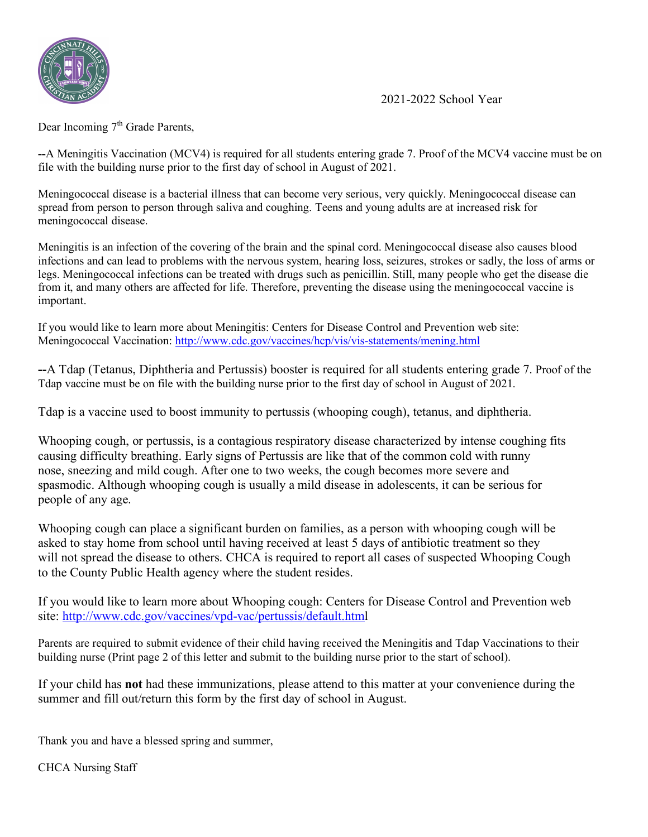

2021-2022 School Year

Dear Incoming 7<sup>th</sup> Grade Parents,

**--**A Meningitis Vaccination (MCV4) is required for all students entering grade 7. Proof of the MCV4 vaccine must be on file with the building nurse prior to the first day of school in August of 2021.

Meningococcal disease is a bacterial illness that can become very serious, very quickly. Meningococcal disease can spread from person to person through saliva and coughing. Teens and young adults are at increased risk for meningococcal disease.

Meningitis is an infection of the covering of the brain and the spinal cord. Meningococcal disease also causes blood infections and can lead to problems with the nervous system, hearing loss, seizures, strokes or sadly, the loss of arms or legs. Meningococcal infections can be treated with drugs such as penicillin. Still, many people who get the disease die from it, and many others are affected for life. Therefore, preventing the disease using the meningococcal vaccine is important.

If you would like to learn more about Meningitis: Centers for Disease Control and Prevention web site: Meningococcal Vaccination:<http://www.cdc.gov/vaccines/hcp/vis/vis-statements/mening.html>

**--**A Tdap (Tetanus, Diphtheria and Pertussis) booster is required for all students entering grade 7. Proof of the Tdap vaccine must be on file with the building nurse prior to the first day of school in August of 2021.

Tdap is a vaccine used to boost immunity to pertussis (whooping cough), tetanus, and diphtheria.

Whooping cough, or pertussis, is a contagious respiratory disease characterized by intense coughing fits causing difficulty breathing. Early signs of Pertussis are like that of the common cold with runny nose, sneezing and mild cough. After one to two weeks, the cough becomes more severe and spasmodic. Although whooping cough is usually a mild disease in adolescents, it can be serious for people of any age.

Whooping cough can place a significant burden on families, as a person with whooping cough will be asked to stay home from school until having received at least 5 days of antibiotic treatment so they will not spread the disease to others. CHCA is required to report all cases of suspected Whooping Cough to the County Public Health agency where the student resides.

If you would like to learn more about Whooping cough: Centers for Disease Control and Prevention web site: [http://www.cdc.gov/vaccines/vpd-vac/pertussis/default.html](http://www.cdc.gov/vaccines/vpd-vac/pertussis/default.htm)

Parents are required to submit evidence of their child having received the Meningitis and Tdap Vaccinations to their building nurse (Print page 2 of this letter and submit to the building nurse prior to the start of school).

If your child has **not** had these immunizations, please attend to this matter at your convenience during the summer and fill out/return this form by the first day of school in August.

Thank you and have a blessed spring and summer,

CHCA Nursing Staff